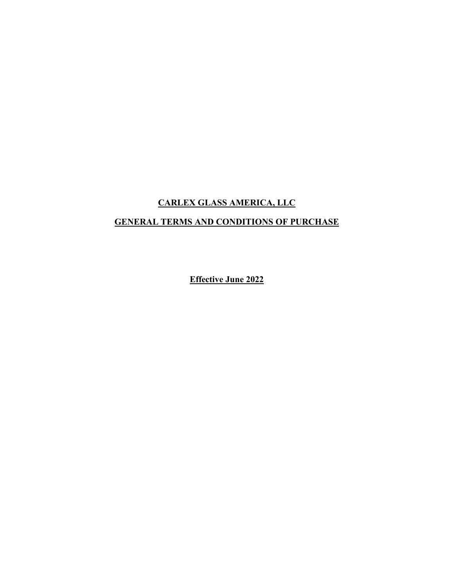## **CARLEX GLASS AMERICA, LLC**

## **GENERAL TERMS AND CONDITIONS OF PURCHASE**

**Effective June 2022**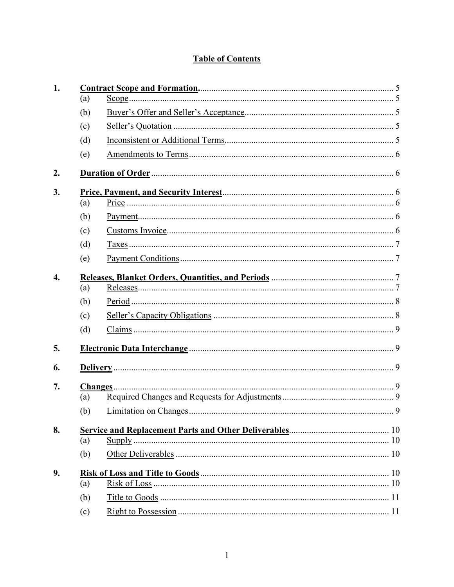# **Table of Contents**

| 1.               |     |                            |  |  |  |
|------------------|-----|----------------------------|--|--|--|
|                  | (a) |                            |  |  |  |
|                  | (b) |                            |  |  |  |
|                  | (c) |                            |  |  |  |
|                  | (d) |                            |  |  |  |
|                  | (e) |                            |  |  |  |
| 2.               |     |                            |  |  |  |
| 3.               |     |                            |  |  |  |
|                  | (a) |                            |  |  |  |
|                  | (b) |                            |  |  |  |
|                  | (c) |                            |  |  |  |
|                  | (d) |                            |  |  |  |
|                  | (e) |                            |  |  |  |
| $\overline{4}$ . |     |                            |  |  |  |
|                  | (a) |                            |  |  |  |
|                  | (b) |                            |  |  |  |
|                  | (c) |                            |  |  |  |
|                  | (d) |                            |  |  |  |
| 5.               |     |                            |  |  |  |
| 6.               |     |                            |  |  |  |
| 7.               |     |                            |  |  |  |
|                  | (a) |                            |  |  |  |
|                  | (b) |                            |  |  |  |
| 8.               |     |                            |  |  |  |
|                  | (a) | $\frac{\text{Supply}}{10}$ |  |  |  |
|                  | (b) |                            |  |  |  |
| 9.               |     |                            |  |  |  |
|                  | (a) |                            |  |  |  |
|                  | (b) |                            |  |  |  |
|                  | (c) |                            |  |  |  |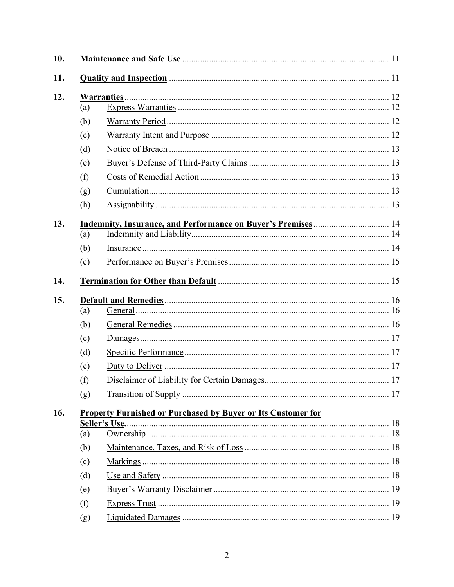| 10. |                                                                     |               |  |  |
|-----|---------------------------------------------------------------------|---------------|--|--|
| 11. |                                                                     |               |  |  |
| 12. | (a)                                                                 |               |  |  |
|     | (b)                                                                 |               |  |  |
|     | (c)                                                                 |               |  |  |
|     | (d)                                                                 |               |  |  |
|     | (e)                                                                 |               |  |  |
|     | (f)                                                                 |               |  |  |
|     | (g)                                                                 |               |  |  |
|     | (h)                                                                 |               |  |  |
| 13. |                                                                     |               |  |  |
|     | (a)                                                                 |               |  |  |
|     | (b)                                                                 |               |  |  |
|     | (c)                                                                 |               |  |  |
| 14. |                                                                     |               |  |  |
| 15. |                                                                     |               |  |  |
|     | (a)                                                                 |               |  |  |
|     | (b)                                                                 |               |  |  |
|     | (c)                                                                 |               |  |  |
|     | (d)                                                                 |               |  |  |
|     | (e)                                                                 |               |  |  |
|     | (f)                                                                 |               |  |  |
|     | (g)                                                                 |               |  |  |
| 16. | <b>Property Furnished or Purchased by Buyer or Its Customer for</b> |               |  |  |
|     | (a)                                                                 | Seller's Use. |  |  |
|     | (b)                                                                 |               |  |  |
|     | (c)                                                                 |               |  |  |
|     | (d)                                                                 |               |  |  |
|     | (e)                                                                 |               |  |  |
|     | (f)                                                                 |               |  |  |
|     |                                                                     |               |  |  |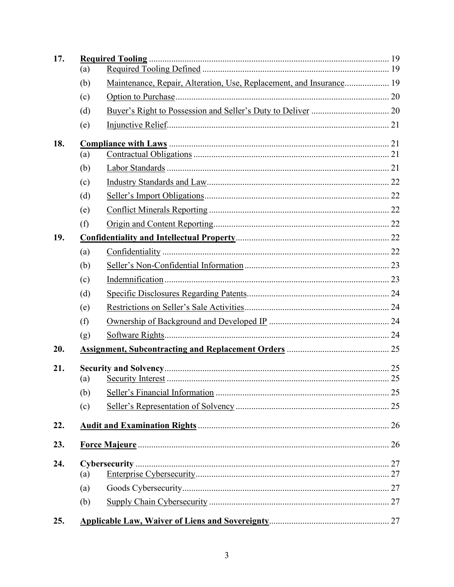| 17. | (a)        |                                                                     |  |
|-----|------------|---------------------------------------------------------------------|--|
|     | (b)        | Maintenance, Repair, Alteration, Use, Replacement, and Insurance 19 |  |
|     | (c)        |                                                                     |  |
|     | (d)        |                                                                     |  |
|     | (e)        |                                                                     |  |
| 18. |            |                                                                     |  |
|     | (a)        |                                                                     |  |
|     | (b)        |                                                                     |  |
|     | (c)        |                                                                     |  |
|     | (d)        |                                                                     |  |
|     | (e)        |                                                                     |  |
|     | (f)        |                                                                     |  |
| 19. |            |                                                                     |  |
|     | (a)        |                                                                     |  |
|     | (b)        |                                                                     |  |
|     | (c)        |                                                                     |  |
|     | (d)        |                                                                     |  |
|     | (e)        |                                                                     |  |
|     | (f)        |                                                                     |  |
|     | (g)        |                                                                     |  |
| 20. |            |                                                                     |  |
| 21. |            |                                                                     |  |
|     | (a)        |                                                                     |  |
|     | (b)<br>(c) |                                                                     |  |
|     |            |                                                                     |  |
| 22. |            |                                                                     |  |
| 23. |            |                                                                     |  |
| 24. |            |                                                                     |  |
|     | (a)        |                                                                     |  |
|     | (a)        |                                                                     |  |
|     | (b)        |                                                                     |  |
| 25. |            |                                                                     |  |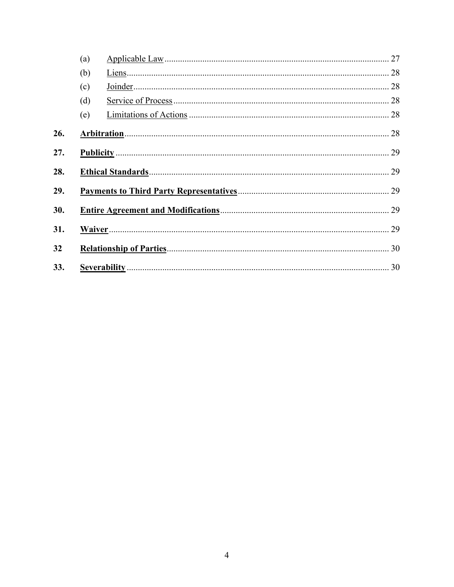|     | (a) |  |  |
|-----|-----|--|--|
|     | (b) |  |  |
|     | (c) |  |  |
|     | (d) |  |  |
|     | (e) |  |  |
| 26. |     |  |  |
| 27. |     |  |  |
| 28. |     |  |  |
| 29. |     |  |  |
| 30. |     |  |  |
| 31. |     |  |  |
| 32  |     |  |  |
| 33. |     |  |  |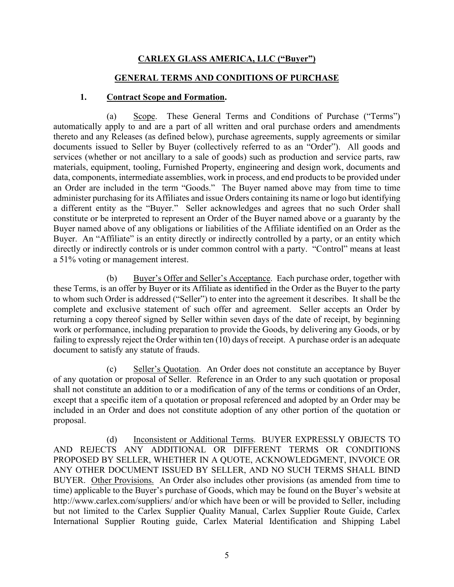### **CARLEX GLASS AMERICA, LLC ("Buyer")**

#### **GENERAL TERMS AND CONDITIONS OF PURCHASE**

#### **1. Contract Scope and Formation.**

(a) Scope. These General Terms and Conditions of Purchase ("Terms") automatically apply to and are a part of all written and oral purchase orders and amendments thereto and any Releases (as defined below), purchase agreements, supply agreements or similar documents issued to Seller by Buyer (collectively referred to as an "Order"). All goods and services (whether or not ancillary to a sale of goods) such as production and service parts, raw materials, equipment, tooling, Furnished Property, engineering and design work, documents and data, components, intermediate assemblies, work in process, and end products to be provided under an Order are included in the term "Goods." The Buyer named above may from time to time administer purchasing for its Affiliates and issue Orders containing its name or logo but identifying a different entity as the "Buyer." Seller acknowledges and agrees that no such Order shall constitute or be interpreted to represent an Order of the Buyer named above or a guaranty by the Buyer named above of any obligations or liabilities of the Affiliate identified on an Order as the Buyer. An "Affiliate" is an entity directly or indirectly controlled by a party, or an entity which directly or indirectly controls or is under common control with a party. "Control" means at least a 51% voting or management interest.

(b) Buyer's Offer and Seller's Acceptance. Each purchase order, together with these Terms, is an offer by Buyer or its Affiliate as identified in the Order as the Buyer to the party to whom such Order is addressed ("Seller") to enter into the agreement it describes. It shall be the complete and exclusive statement of such offer and agreement. Seller accepts an Order by returning a copy thereof signed by Seller within seven days of the date of receipt, by beginning work or performance, including preparation to provide the Goods, by delivering any Goods, or by failing to expressly reject the Order within ten (10) days of receipt. A purchase order is an adequate document to satisfy any statute of frauds.

(c) Seller's Quotation. An Order does not constitute an acceptance by Buyer of any quotation or proposal of Seller. Reference in an Order to any such quotation or proposal shall not constitute an addition to or a modification of any of the terms or conditions of an Order, except that a specific item of a quotation or proposal referenced and adopted by an Order may be included in an Order and does not constitute adoption of any other portion of the quotation or proposal.

(d) Inconsistent or Additional Terms. BUYER EXPRESSLY OBJECTS TO AND REJECTS ANY ADDITIONAL OR DIFFERENT TERMS OR CONDITIONS PROPOSED BY SELLER, WHETHER IN A QUOTE, ACKNOWLEDGMENT, INVOICE OR ANY OTHER DOCUMENT ISSUED BY SELLER, AND NO SUCH TERMS SHALL BIND BUYER. Other Provisions. An Order also includes other provisions (as amended from time to time) applicable to the Buyer's purchase of Goods, which may be found on the Buyer's website at http://www.carlex.com/suppliers/ and/or which have been or will be provided to Seller, including but not limited to the Carlex Supplier Quality Manual, Carlex Supplier Route Guide, Carlex International Supplier Routing guide, Carlex Material Identification and Shipping Label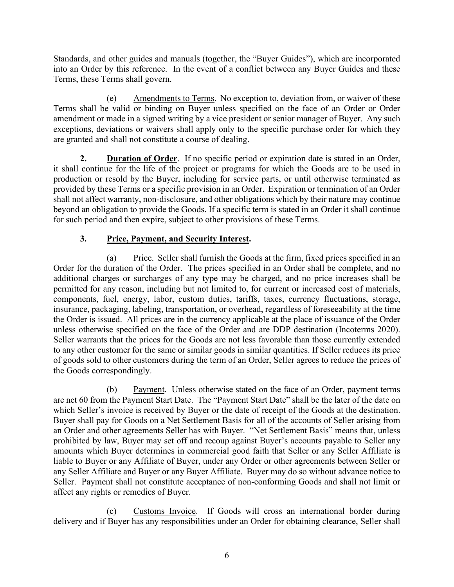Standards, and other guides and manuals (together, the "Buyer Guides"), which are incorporated into an Order by this reference. In the event of a conflict between any Buyer Guides and these Terms, these Terms shall govern.

(e) Amendments to Terms. No exception to, deviation from, or waiver of these Terms shall be valid or binding on Buyer unless specified on the face of an Order or Order amendment or made in a signed writing by a vice president or senior manager of Buyer. Any such exceptions, deviations or waivers shall apply only to the specific purchase order for which they are granted and shall not constitute a course of dealing.

**2. Duration of Order**. If no specific period or expiration date is stated in an Order, it shall continue for the life of the project or programs for which the Goods are to be used in production or resold by the Buyer, including for service parts, or until otherwise terminated as provided by these Terms or a specific provision in an Order. Expiration or termination of an Order shall not affect warranty, non-disclosure, and other obligations which by their nature may continue beyond an obligation to provide the Goods. If a specific term is stated in an Order it shall continue for such period and then expire, subject to other provisions of these Terms.

## **3. Price, Payment, and Security Interest.**

(a) Price. Seller shall furnish the Goods at the firm, fixed prices specified in an Order for the duration of the Order. The prices specified in an Order shall be complete, and no additional charges or surcharges of any type may be charged, and no price increases shall be permitted for any reason, including but not limited to, for current or increased cost of materials, components, fuel, energy, labor, custom duties, tariffs, taxes, currency fluctuations, storage, insurance, packaging, labeling, transportation, or overhead, regardless of foreseeability at the time the Order is issued. All prices are in the currency applicable at the place of issuance of the Order unless otherwise specified on the face of the Order and are DDP destination (Incoterms 2020). Seller warrants that the prices for the Goods are not less favorable than those currently extended to any other customer for the same or similar goods in similar quantities. If Seller reduces its price of goods sold to other customers during the term of an Order, Seller agrees to reduce the prices of the Goods correspondingly.

(b) Payment. Unless otherwise stated on the face of an Order, payment terms are net 60 from the Payment Start Date. The "Payment Start Date" shall be the later of the date on which Seller's invoice is received by Buyer or the date of receipt of the Goods at the destination. Buyer shall pay for Goods on a Net Settlement Basis for all of the accounts of Seller arising from an Order and other agreements Seller has with Buyer. "Net Settlement Basis" means that, unless prohibited by law, Buyer may set off and recoup against Buyer's accounts payable to Seller any amounts which Buyer determines in commercial good faith that Seller or any Seller Affiliate is liable to Buyer or any Affiliate of Buyer, under any Order or other agreements between Seller or any Seller Affiliate and Buyer or any Buyer Affiliate. Buyer may do so without advance notice to Seller. Payment shall not constitute acceptance of non-conforming Goods and shall not limit or affect any rights or remedies of Buyer.

(c) Customs Invoice. If Goods will cross an international border during delivery and if Buyer has any responsibilities under an Order for obtaining clearance, Seller shall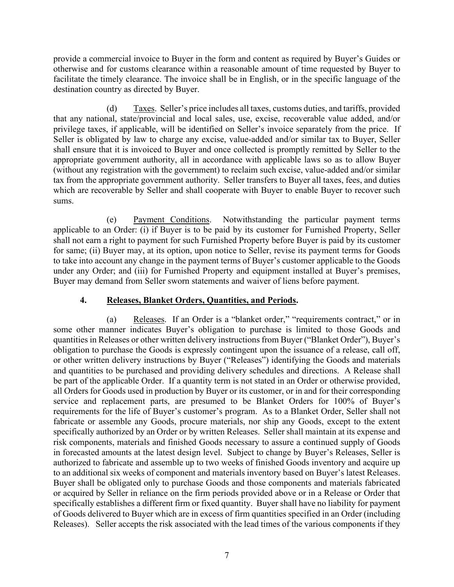provide a commercial invoice to Buyer in the form and content as required by Buyer's Guides or otherwise and for customs clearance within a reasonable amount of time requested by Buyer to facilitate the timely clearance. The invoice shall be in English, or in the specific language of the destination country as directed by Buyer.

(d) Taxes. Seller's price includes all taxes, customs duties, and tariffs, provided that any national, state/provincial and local sales, use, excise, recoverable value added, and/or privilege taxes, if applicable, will be identified on Seller's invoice separately from the price. If Seller is obligated by law to charge any excise, value-added and/or similar tax to Buyer, Seller shall ensure that it is invoiced to Buyer and once collected is promptly remitted by Seller to the appropriate government authority, all in accordance with applicable laws so as to allow Buyer (without any registration with the government) to reclaim such excise, value-added and/or similar tax from the appropriate government authority. Seller transfers to Buyer all taxes, fees, and duties which are recoverable by Seller and shall cooperate with Buyer to enable Buyer to recover such sums.

(e) Payment Conditions. Notwithstanding the particular payment terms applicable to an Order: (i) if Buyer is to be paid by its customer for Furnished Property, Seller shall not earn a right to payment for such Furnished Property before Buyer is paid by its customer for same; (ii) Buyer may, at its option, upon notice to Seller, revise its payment terms for Goods to take into account any change in the payment terms of Buyer's customer applicable to the Goods under any Order; and (iii) for Furnished Property and equipment installed at Buyer's premises, Buyer may demand from Seller sworn statements and waiver of liens before payment.

### **4. Releases, Blanket Orders, Quantities, and Periods.**

(a) Releases. If an Order is a "blanket order," "requirements contract," or in some other manner indicates Buyer's obligation to purchase is limited to those Goods and quantities in Releases or other written delivery instructions from Buyer ("Blanket Order"), Buyer's obligation to purchase the Goods is expressly contingent upon the issuance of a release, call off, or other written delivery instructions by Buyer ("Releases") identifying the Goods and materials and quantities to be purchased and providing delivery schedules and directions. A Release shall be part of the applicable Order. If a quantity term is not stated in an Order or otherwise provided, all Orders for Goods used in production by Buyer or its customer, or in and for their corresponding service and replacement parts, are presumed to be Blanket Orders for 100% of Buyer's requirements for the life of Buyer's customer's program. As to a Blanket Order, Seller shall not fabricate or assemble any Goods, procure materials, nor ship any Goods, except to the extent specifically authorized by an Order or by written Releases. Seller shall maintain at its expense and risk components, materials and finished Goods necessary to assure a continued supply of Goods in forecasted amounts at the latest design level. Subject to change by Buyer's Releases, Seller is authorized to fabricate and assemble up to two weeks of finished Goods inventory and acquire up to an additional six weeks of component and materials inventory based on Buyer's latest Releases. Buyer shall be obligated only to purchase Goods and those components and materials fabricated or acquired by Seller in reliance on the firm periods provided above or in a Release or Order that specifically establishes a different firm or fixed quantity. Buyer shall have no liability for payment of Goods delivered to Buyer which are in excess of firm quantities specified in an Order (including Releases). Seller accepts the risk associated with the lead times of the various components if they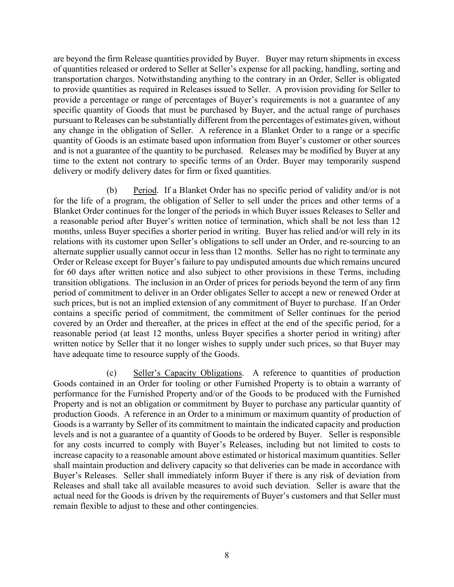are beyond the firm Release quantities provided by Buyer. Buyer may return shipments in excess of quantities released or ordered to Seller at Seller's expense for all packing, handling, sorting and transportation charges. Notwithstanding anything to the contrary in an Order, Seller is obligated to provide quantities as required in Releases issued to Seller. A provision providing for Seller to provide a percentage or range of percentages of Buyer's requirements is not a guarantee of any specific quantity of Goods that must be purchased by Buyer, and the actual range of purchases pursuant to Releases can be substantially different from the percentages of estimates given, without any change in the obligation of Seller. A reference in a Blanket Order to a range or a specific quantity of Goods is an estimate based upon information from Buyer's customer or other sources and is not a guarantee of the quantity to be purchased. Releases may be modified by Buyer at any time to the extent not contrary to specific terms of an Order. Buyer may temporarily suspend delivery or modify delivery dates for firm or fixed quantities.

(b) Period. If a Blanket Order has no specific period of validity and/or is not for the life of a program, the obligation of Seller to sell under the prices and other terms of a Blanket Order continues for the longer of the periods in which Buyer issues Releases to Seller and a reasonable period after Buyer's written notice of termination, which shall be not less than 12 months, unless Buyer specifies a shorter period in writing. Buyer has relied and/or will rely in its relations with its customer upon Seller's obligations to sell under an Order, and re-sourcing to an alternate supplier usually cannot occur in less than 12 months. Seller has no right to terminate any Order or Release except for Buyer's failure to pay undisputed amounts due which remains uncured for 60 days after written notice and also subject to other provisions in these Terms, including transition obligations. The inclusion in an Order of prices for periods beyond the term of any firm period of commitment to deliver in an Order obligates Seller to accept a new or renewed Order at such prices, but is not an implied extension of any commitment of Buyer to purchase. If an Order contains a specific period of commitment, the commitment of Seller continues for the period covered by an Order and thereafter, at the prices in effect at the end of the specific period, for a reasonable period (at least 12 months, unless Buyer specifies a shorter period in writing) after written notice by Seller that it no longer wishes to supply under such prices, so that Buyer may have adequate time to resource supply of the Goods.

(c) Seller's Capacity Obligations. A reference to quantities of production Goods contained in an Order for tooling or other Furnished Property is to obtain a warranty of performance for the Furnished Property and/or of the Goods to be produced with the Furnished Property and is not an obligation or commitment by Buyer to purchase any particular quantity of production Goods. A reference in an Order to a minimum or maximum quantity of production of Goods is a warranty by Seller of its commitment to maintain the indicated capacity and production levels and is not a guarantee of a quantity of Goods to be ordered by Buyer. Seller is responsible for any costs incurred to comply with Buyer's Releases, including but not limited to costs to increase capacity to a reasonable amount above estimated or historical maximum quantities. Seller shall maintain production and delivery capacity so that deliveries can be made in accordance with Buyer's Releases. Seller shall immediately inform Buyer if there is any risk of deviation from Releases and shall take all available measures to avoid such deviation. Seller is aware that the actual need for the Goods is driven by the requirements of Buyer's customers and that Seller must remain flexible to adjust to these and other contingencies.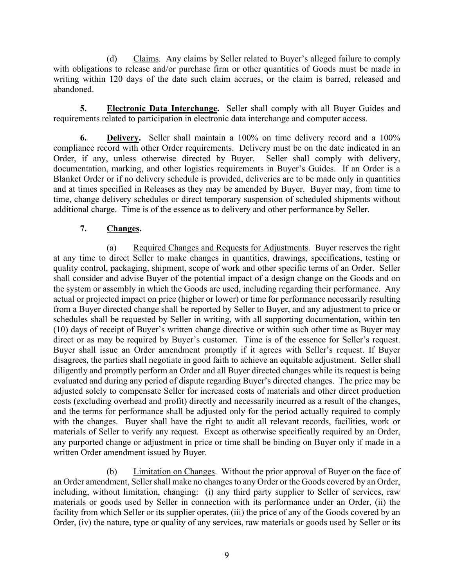(d) Claims. Any claims by Seller related to Buyer's alleged failure to comply with obligations to release and/or purchase firm or other quantities of Goods must be made in writing within 120 days of the date such claim accrues, or the claim is barred, released and abandoned.

**5. Electronic Data Interchange.** Seller shall comply with all Buyer Guides and requirements related to participation in electronic data interchange and computer access.

**6. Delivery.** Seller shall maintain a 100% on time delivery record and a 100% compliance record with other Order requirements. Delivery must be on the date indicated in an Order, if any, unless otherwise directed by Buyer. Seller shall comply with delivery, documentation, marking, and other logistics requirements in Buyer's Guides. If an Order is a Blanket Order or if no delivery schedule is provided, deliveries are to be made only in quantities and at times specified in Releases as they may be amended by Buyer. Buyer may, from time to time, change delivery schedules or direct temporary suspension of scheduled shipments without additional charge. Time is of the essence as to delivery and other performance by Seller.

### **7. Changes.**

(a) Required Changes and Requests for Adjustments. Buyer reserves the right at any time to direct Seller to make changes in quantities, drawings, specifications, testing or quality control, packaging, shipment, scope of work and other specific terms of an Order. Seller shall consider and advise Buyer of the potential impact of a design change on the Goods and on the system or assembly in which the Goods are used, including regarding their performance. Any actual or projected impact on price (higher or lower) or time for performance necessarily resulting from a Buyer directed change shall be reported by Seller to Buyer, and any adjustment to price or schedules shall be requested by Seller in writing, with all supporting documentation, within ten (10) days of receipt of Buyer's written change directive or within such other time as Buyer may direct or as may be required by Buyer's customer. Time is of the essence for Seller's request. Buyer shall issue an Order amendment promptly if it agrees with Seller's request. If Buyer disagrees, the parties shall negotiate in good faith to achieve an equitable adjustment. Seller shall diligently and promptly perform an Order and all Buyer directed changes while its request is being evaluated and during any period of dispute regarding Buyer's directed changes. The price may be adjusted solely to compensate Seller for increased costs of materials and other direct production costs (excluding overhead and profit) directly and necessarily incurred as a result of the changes, and the terms for performance shall be adjusted only for the period actually required to comply with the changes. Buyer shall have the right to audit all relevant records, facilities, work or materials of Seller to verify any request. Except as otherwise specifically required by an Order, any purported change or adjustment in price or time shall be binding on Buyer only if made in a written Order amendment issued by Buyer.

(b) Limitation on Changes. Without the prior approval of Buyer on the face of an Order amendment, Seller shall make no changes to any Order or the Goods covered by an Order, including, without limitation, changing: (i) any third party supplier to Seller of services, raw materials or goods used by Seller in connection with its performance under an Order, (ii) the facility from which Seller or its supplier operates, (iii) the price of any of the Goods covered by an Order, (iv) the nature, type or quality of any services, raw materials or goods used by Seller or its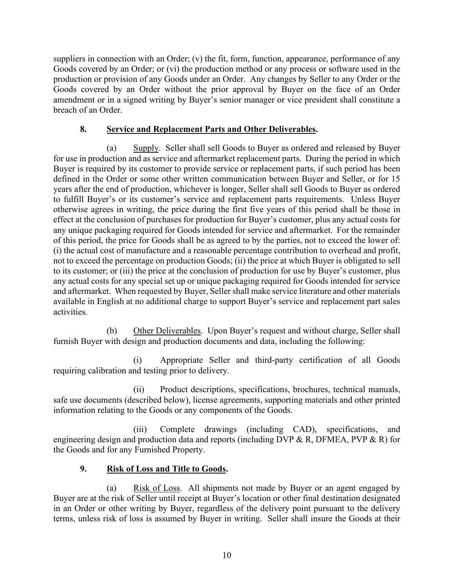suppliers in connection with an Order; (v) the fit, form, function, appearance, performance of any Goods covered by an Order; or (vi) the production method or any process or software used in the production or provision of any Goods under an Order. Any changes by Seller to any Order or the Goods covered by an Order without the prior approval by Buyer on the face of an Order amendment or in a signed writing by Buyer's senior manager or vice president shall constitute a breach of an Order.

### **8. Service and Replacement Parts and Other Deliverables.**

(a) Supply. Seller shall sell Goods to Buyer as ordered and released by Buyer for use in production and as service and aftermarket replacement parts. During the period in which Buyer is required by its customer to provide service or replacement parts, if such period has been defined in the Order or some other written communication between Buyer and Seller, or for 15 years after the end of production, whichever is longer, Seller shall sell Goods to Buyer as ordered to fulfill Buyer's or its customer's service and replacement parts requirements. Unless Buyer otherwise agrees in writing, the price during the first five years of this period shall be those in effect at the conclusion of purchases for production for Buyer's customer, plus any actual costs for any unique packaging required for Goods intended for service and aftermarket. For the remainder of this period, the price for Goods shall be as agreed to by the parties, not to exceed the lower of: (i) the actual cost of manufacture and a reasonable percentage contribution to overhead and profit, not to exceed the percentage on production Goods; (ii) the price at which Buyer is obligated to sell to its customer; or (iii) the price at the conclusion of production for use by Buyer's customer, plus any actual costs for any special set up or unique packaging required for Goods intended for service and aftermarket. When requested by Buyer, Seller shall make service literature and other materials available in English at no additional charge to support Buyer's service and replacement part sales activities.

(b) Other Deliverables. Upon Buyer's request and without charge, Seller shall furnish Buyer with design and production documents and data, including the following:

(i) Appropriate Seller and third-party certification of all Goods requiring calibration and testing prior to delivery.

(ii) Product descriptions, specifications, brochures, technical manuals, safe use documents (described below), license agreements, supporting materials and other printed information relating to the Goods or any components of the Goods.

(iii) Complete drawings (including CAD), specifications, and engineering design and production data and reports (including DVP & R, DFMEA, PVP & R) for the Goods and for any Furnished Property.

## **9. Risk of Loss and Title to Goods.**

(a) Risk of Loss. All shipments not made by Buyer or an agent engaged by Buyer are at the risk of Seller until receipt at Buyer's location or other final destination designated in an Order or other writing by Buyer, regardless of the delivery point pursuant to the delivery terms, unless risk of loss is assumed by Buyer in writing. Seller shall insure the Goods at their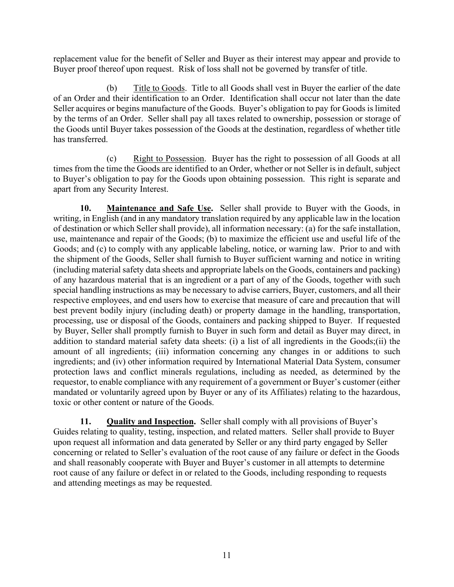replacement value for the benefit of Seller and Buyer as their interest may appear and provide to Buyer proof thereof upon request. Risk of loss shall not be governed by transfer of title.

(b) Title to Goods. Title to all Goods shall vest in Buyer the earlier of the date of an Order and their identification to an Order. Identification shall occur not later than the date Seller acquires or begins manufacture of the Goods. Buyer's obligation to pay for Goods is limited by the terms of an Order. Seller shall pay all taxes related to ownership, possession or storage of the Goods until Buyer takes possession of the Goods at the destination, regardless of whether title has transferred.

(c) Right to Possession. Buyer has the right to possession of all Goods at all times from the time the Goods are identified to an Order, whether or not Seller is in default, subject to Buyer's obligation to pay for the Goods upon obtaining possession. This right is separate and apart from any Security Interest.

**10. Maintenance and Safe Use.** Seller shall provide to Buyer with the Goods, in writing, in English (and in any mandatory translation required by any applicable law in the location of destination or which Seller shall provide), all information necessary: (a) for the safe installation, use, maintenance and repair of the Goods; (b) to maximize the efficient use and useful life of the Goods; and (c) to comply with any applicable labeling, notice, or warning law. Prior to and with the shipment of the Goods, Seller shall furnish to Buyer sufficient warning and notice in writing (including material safety data sheets and appropriate labels on the Goods, containers and packing) of any hazardous material that is an ingredient or a part of any of the Goods, together with such special handling instructions as may be necessary to advise carriers, Buyer, customers, and all their respective employees, and end users how to exercise that measure of care and precaution that will best prevent bodily injury (including death) or property damage in the handling, transportation, processing, use or disposal of the Goods, containers and packing shipped to Buyer. If requested by Buyer, Seller shall promptly furnish to Buyer in such form and detail as Buyer may direct, in addition to standard material safety data sheets: (i) a list of all ingredients in the Goods;(ii) the amount of all ingredients; (iii) information concerning any changes in or additions to such ingredients; and (iv) other information required by International Material Data System, consumer protection laws and conflict minerals regulations, including as needed, as determined by the requestor, to enable compliance with any requirement of a government or Buyer's customer (either mandated or voluntarily agreed upon by Buyer or any of its Affiliates) relating to the hazardous, toxic or other content or nature of the Goods.

**11. Quality and Inspection.** Seller shall comply with all provisions of Buyer's Guides relating to quality, testing, inspection, and related matters. Seller shall provide to Buyer upon request all information and data generated by Seller or any third party engaged by Seller concerning or related to Seller's evaluation of the root cause of any failure or defect in the Goods and shall reasonably cooperate with Buyer and Buyer's customer in all attempts to determine root cause of any failure or defect in or related to the Goods, including responding to requests and attending meetings as may be requested.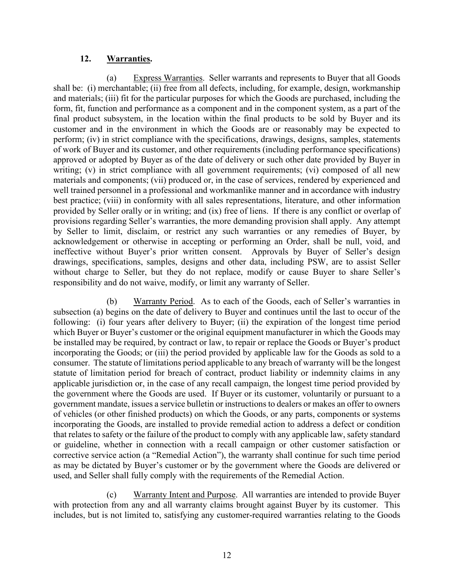#### **12. Warranties.**

(a) Express Warranties. Seller warrants and represents to Buyer that all Goods shall be: (i) merchantable; (ii) free from all defects, including, for example, design, workmanship and materials; (iii) fit for the particular purposes for which the Goods are purchased, including the form, fit, function and performance as a component and in the component system, as a part of the final product subsystem, in the location within the final products to be sold by Buyer and its customer and in the environment in which the Goods are or reasonably may be expected to perform; (iv) in strict compliance with the specifications, drawings, designs, samples, statements of work of Buyer and its customer, and other requirements (including performance specifications) approved or adopted by Buyer as of the date of delivery or such other date provided by Buyer in writing; (v) in strict compliance with all government requirements; (vi) composed of all new materials and components; (vii) produced or, in the case of services, rendered by experienced and well trained personnel in a professional and workmanlike manner and in accordance with industry best practice; (viii) in conformity with all sales representations, literature, and other information provided by Seller orally or in writing; and (ix) free of liens. If there is any conflict or overlap of provisions regarding Seller's warranties, the more demanding provision shall apply. Any attempt by Seller to limit, disclaim, or restrict any such warranties or any remedies of Buyer, by acknowledgement or otherwise in accepting or performing an Order, shall be null, void, and ineffective without Buyer's prior written consent. Approvals by Buyer of Seller's design drawings, specifications, samples, designs and other data, including PSW, are to assist Seller without charge to Seller, but they do not replace, modify or cause Buyer to share Seller's responsibility and do not waive, modify, or limit any warranty of Seller.

(b) Warranty Period. As to each of the Goods, each of Seller's warranties in subsection (a) begins on the date of delivery to Buyer and continues until the last to occur of the following: (i) four years after delivery to Buyer; (ii) the expiration of the longest time period which Buyer or Buyer's customer or the original equipment manufacturer in which the Goods may be installed may be required, by contract or law, to repair or replace the Goods or Buyer's product incorporating the Goods; or (iii) the period provided by applicable law for the Goods as sold to a consumer. The statute of limitations period applicable to any breach of warranty will be the longest statute of limitation period for breach of contract, product liability or indemnity claims in any applicable jurisdiction or, in the case of any recall campaign, the longest time period provided by the government where the Goods are used. If Buyer or its customer, voluntarily or pursuant to a government mandate, issues a service bulletin or instructions to dealers or makes an offer to owners of vehicles (or other finished products) on which the Goods, or any parts, components or systems incorporating the Goods, are installed to provide remedial action to address a defect or condition that relates to safety or the failure of the product to comply with any applicable law, safety standard or guideline, whether in connection with a recall campaign or other customer satisfaction or corrective service action (a "Remedial Action"), the warranty shall continue for such time period as may be dictated by Buyer's customer or by the government where the Goods are delivered or used, and Seller shall fully comply with the requirements of the Remedial Action.

(c) Warranty Intent and Purpose. All warranties are intended to provide Buyer with protection from any and all warranty claims brought against Buyer by its customer. This includes, but is not limited to, satisfying any customer-required warranties relating to the Goods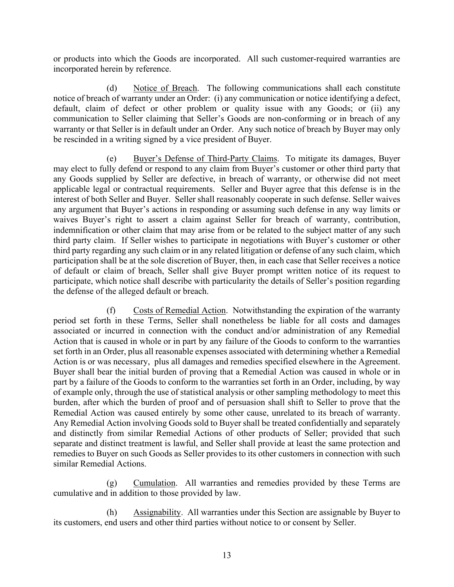or products into which the Goods are incorporated. All such customer-required warranties are incorporated herein by reference.

(d) Notice of Breach. The following communications shall each constitute notice of breach of warranty under an Order: (i) any communication or notice identifying a defect, default, claim of defect or other problem or quality issue with any Goods; or (ii) any communication to Seller claiming that Seller's Goods are non-conforming or in breach of any warranty or that Seller is in default under an Order. Any such notice of breach by Buyer may only be rescinded in a writing signed by a vice president of Buyer.

(e) Buyer's Defense of Third-Party Claims. To mitigate its damages, Buyer may elect to fully defend or respond to any claim from Buyer's customer or other third party that any Goods supplied by Seller are defective, in breach of warranty, or otherwise did not meet applicable legal or contractual requirements. Seller and Buyer agree that this defense is in the interest of both Seller and Buyer. Seller shall reasonably cooperate in such defense. Seller waives any argument that Buyer's actions in responding or assuming such defense in any way limits or waives Buyer's right to assert a claim against Seller for breach of warranty, contribution, indemnification or other claim that may arise from or be related to the subject matter of any such third party claim. If Seller wishes to participate in negotiations with Buyer's customer or other third party regarding any such claim or in any related litigation or defense of any such claim, which participation shall be at the sole discretion of Buyer, then, in each case that Seller receives a notice of default or claim of breach, Seller shall give Buyer prompt written notice of its request to participate, which notice shall describe with particularity the details of Seller's position regarding the defense of the alleged default or breach.

(f) Costs of Remedial Action. Notwithstanding the expiration of the warranty period set forth in these Terms, Seller shall nonetheless be liable for all costs and damages associated or incurred in connection with the conduct and/or administration of any Remedial Action that is caused in whole or in part by any failure of the Goods to conform to the warranties set forth in an Order, plus all reasonable expenses associated with determining whether a Remedial Action is or was necessary, plus all damages and remedies specified elsewhere in the Agreement. Buyer shall bear the initial burden of proving that a Remedial Action was caused in whole or in part by a failure of the Goods to conform to the warranties set forth in an Order, including, by way of example only, through the use of statistical analysis or other sampling methodology to meet this burden, after which the burden of proof and of persuasion shall shift to Seller to prove that the Remedial Action was caused entirely by some other cause, unrelated to its breach of warranty. Any Remedial Action involving Goods sold to Buyer shall be treated confidentially and separately and distinctly from similar Remedial Actions of other products of Seller; provided that such separate and distinct treatment is lawful, and Seller shall provide at least the same protection and remedies to Buyer on such Goods as Seller provides to its other customers in connection with such similar Remedial Actions.

(g) Cumulation. All warranties and remedies provided by these Terms are cumulative and in addition to those provided by law.

(h) Assignability. All warranties under this Section are assignable by Buyer to its customers, end users and other third parties without notice to or consent by Seller.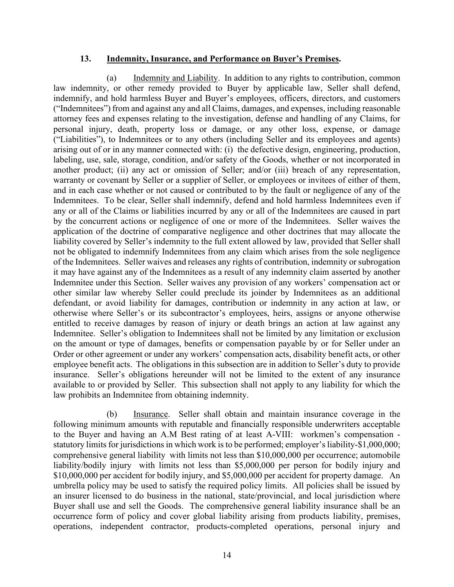#### **13. Indemnity, Insurance, and Performance on Buyer's Premises.**

(a) Indemnity and Liability. In addition to any rights to contribution, common law indemnity, or other remedy provided to Buyer by applicable law, Seller shall defend, indemnify, and hold harmless Buyer and Buyer's employees, officers, directors, and customers ("Indemnitees") from and against any and all Claims, damages, and expenses, including reasonable attorney fees and expenses relating to the investigation, defense and handling of any Claims, for personal injury, death, property loss or damage, or any other loss, expense, or damage ("Liabilities"), to Indemnitees or to any others (including Seller and its employees and agents) arising out of or in any manner connected with: (i) the defective design, engineering, production, labeling, use, sale, storage, condition, and/or safety of the Goods, whether or not incorporated in another product; (ii) any act or omission of Seller; and/or (iii) breach of any representation, warranty or covenant by Seller or a supplier of Seller, or employees or invitees of either of them, and in each case whether or not caused or contributed to by the fault or negligence of any of the Indemnitees. To be clear, Seller shall indemnify, defend and hold harmless Indemnitees even if any or all of the Claims or liabilities incurred by any or all of the Indemnitees are caused in part by the concurrent actions or negligence of one or more of the Indemnitees. Seller waives the application of the doctrine of comparative negligence and other doctrines that may allocate the liability covered by Seller's indemnity to the full extent allowed by law, provided that Seller shall not be obligated to indemnify Indemnitees from any claim which arises from the sole negligence of the Indemnitees. Seller waives and releases any rights of contribution, indemnity or subrogation it may have against any of the Indemnitees as a result of any indemnity claim asserted by another Indemnitee under this Section. Seller waives any provision of any workers' compensation act or other similar law whereby Seller could preclude its joinder by Indemnitees as an additional defendant, or avoid liability for damages, contribution or indemnity in any action at law, or otherwise where Seller's or its subcontractor's employees, heirs, assigns or anyone otherwise entitled to receive damages by reason of injury or death brings an action at law against any Indemnitee. Seller's obligation to Indemnitees shall not be limited by any limitation or exclusion on the amount or type of damages, benefits or compensation payable by or for Seller under an Order or other agreement or under any workers' compensation acts, disability benefit acts, or other employee benefit acts. The obligations in this subsection are in addition to Seller's duty to provide insurance. Seller's obligations hereunder will not be limited to the extent of any insurance available to or provided by Seller. This subsection shall not apply to any liability for which the law prohibits an Indemnitee from obtaining indemnity.

(b) Insurance. Seller shall obtain and maintain insurance coverage in the following minimum amounts with reputable and financially responsible underwriters acceptable to the Buyer and having an A.M Best rating of at least A-VIII: workmen's compensation statutory limits for jurisdictions in which work is to be performed; employer's liability-\$1,000,000; comprehensive general liability with limits not less than \$10,000,000 per occurrence; automobile liability/bodily injury with limits not less than \$5,000,000 per person for bodily injury and \$10,000,000 per accident for bodily injury, and \$5,000,000 per accident for property damage. An umbrella policy may be used to satisfy the required policy limits. All policies shall be issued by an insurer licensed to do business in the national, state/provincial, and local jurisdiction where Buyer shall use and sell the Goods. The comprehensive general liability insurance shall be an occurrence form of policy and cover global liability arising from products liability, premises, operations, independent contractor, products-completed operations, personal injury and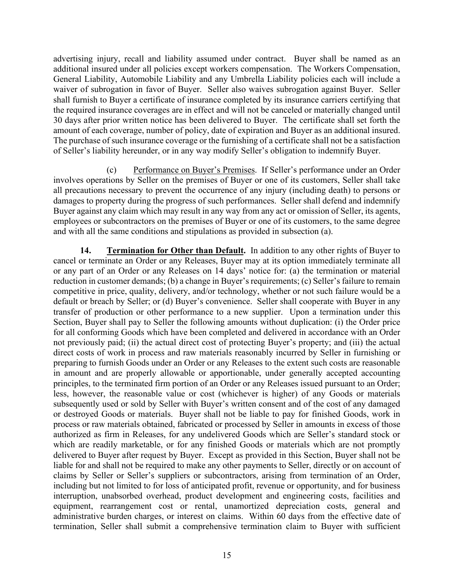advertising injury, recall and liability assumed under contract. Buyer shall be named as an additional insured under all policies except workers compensation. The Workers Compensation, General Liability, Automobile Liability and any Umbrella Liability policies each will include a waiver of subrogation in favor of Buyer. Seller also waives subrogation against Buyer. Seller shall furnish to Buyer a certificate of insurance completed by its insurance carriers certifying that the required insurance coverages are in effect and will not be canceled or materially changed until 30 days after prior written notice has been delivered to Buyer. The certificate shall set forth the amount of each coverage, number of policy, date of expiration and Buyer as an additional insured. The purchase of such insurance coverage or the furnishing of a certificate shall not be a satisfaction of Seller's liability hereunder, or in any way modify Seller's obligation to indemnify Buyer.

(c) Performance on Buyer's Premises. If Seller's performance under an Order involves operations by Seller on the premises of Buyer or one of its customers, Seller shall take all precautions necessary to prevent the occurrence of any injury (including death) to persons or damages to property during the progress of such performances. Seller shall defend and indemnify Buyer against any claim which may result in any way from any act or omission of Seller, its agents, employees or subcontractors on the premises of Buyer or one of its customers, to the same degree and with all the same conditions and stipulations as provided in subsection (a).

**14. Termination for Other than Default.** In addition to any other rights of Buyer to cancel or terminate an Order or any Releases, Buyer may at its option immediately terminate all or any part of an Order or any Releases on 14 days' notice for: (a) the termination or material reduction in customer demands; (b) a change in Buyer's requirements; (c) Seller's failure to remain competitive in price, quality, delivery, and/or technology, whether or not such failure would be a default or breach by Seller; or (d) Buyer's convenience. Seller shall cooperate with Buyer in any transfer of production or other performance to a new supplier. Upon a termination under this Section, Buyer shall pay to Seller the following amounts without duplication: (i) the Order price for all conforming Goods which have been completed and delivered in accordance with an Order not previously paid; (ii) the actual direct cost of protecting Buyer's property; and (iii) the actual direct costs of work in process and raw materials reasonably incurred by Seller in furnishing or preparing to furnish Goods under an Order or any Releases to the extent such costs are reasonable in amount and are properly allowable or apportionable, under generally accepted accounting principles, to the terminated firm portion of an Order or any Releases issued pursuant to an Order; less, however, the reasonable value or cost (whichever is higher) of any Goods or materials subsequently used or sold by Seller with Buyer's written consent and of the cost of any damaged or destroyed Goods or materials. Buyer shall not be liable to pay for finished Goods, work in process or raw materials obtained, fabricated or processed by Seller in amounts in excess of those authorized as firm in Releases, for any undelivered Goods which are Seller's standard stock or which are readily marketable, or for any finished Goods or materials which are not promptly delivered to Buyer after request by Buyer. Except as provided in this Section, Buyer shall not be liable for and shall not be required to make any other payments to Seller, directly or on account of claims by Seller or Seller's suppliers or subcontractors, arising from termination of an Order, including but not limited to for loss of anticipated profit, revenue or opportunity, and for business interruption, unabsorbed overhead, product development and engineering costs, facilities and equipment, rearrangement cost or rental, unamortized depreciation costs, general and administrative burden charges, or interest on claims. Within 60 days from the effective date of termination, Seller shall submit a comprehensive termination claim to Buyer with sufficient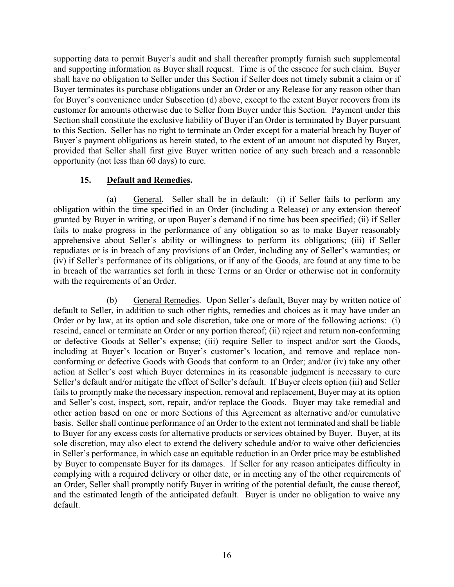supporting data to permit Buyer's audit and shall thereafter promptly furnish such supplemental and supporting information as Buyer shall request. Time is of the essence for such claim. Buyer shall have no obligation to Seller under this Section if Seller does not timely submit a claim or if Buyer terminates its purchase obligations under an Order or any Release for any reason other than for Buyer's convenience under Subsection (d) above, except to the extent Buyer recovers from its customer for amounts otherwise due to Seller from Buyer under this Section. Payment under this Section shall constitute the exclusive liability of Buyer if an Order is terminated by Buyer pursuant to this Section. Seller has no right to terminate an Order except for a material breach by Buyer of Buyer's payment obligations as herein stated, to the extent of an amount not disputed by Buyer, provided that Seller shall first give Buyer written notice of any such breach and a reasonable opportunity (not less than 60 days) to cure.

#### **15. Default and Remedies.**

(a) General. Seller shall be in default: (i) if Seller fails to perform any obligation within the time specified in an Order (including a Release) or any extension thereof granted by Buyer in writing, or upon Buyer's demand if no time has been specified; (ii) if Seller fails to make progress in the performance of any obligation so as to make Buyer reasonably apprehensive about Seller's ability or willingness to perform its obligations; (iii) if Seller repudiates or is in breach of any provisions of an Order, including any of Seller's warranties; or (iv) if Seller's performance of its obligations, or if any of the Goods, are found at any time to be in breach of the warranties set forth in these Terms or an Order or otherwise not in conformity with the requirements of an Order.

(b) General Remedies. Upon Seller's default, Buyer may by written notice of default to Seller, in addition to such other rights, remedies and choices as it may have under an Order or by law, at its option and sole discretion, take one or more of the following actions: (i) rescind, cancel or terminate an Order or any portion thereof; (ii) reject and return non-conforming or defective Goods at Seller's expense; (iii) require Seller to inspect and/or sort the Goods, including at Buyer's location or Buyer's customer's location, and remove and replace nonconforming or defective Goods with Goods that conform to an Order; and/or (iv) take any other action at Seller's cost which Buyer determines in its reasonable judgment is necessary to cure Seller's default and/or mitigate the effect of Seller's default. If Buyer elects option (iii) and Seller fails to promptly make the necessary inspection, removal and replacement, Buyer may at its option and Seller's cost, inspect, sort, repair, and/or replace the Goods. Buyer may take remedial and other action based on one or more Sections of this Agreement as alternative and/or cumulative basis. Seller shall continue performance of an Order to the extent not terminated and shall be liable to Buyer for any excess costs for alternative products or services obtained by Buyer. Buyer, at its sole discretion, may also elect to extend the delivery schedule and/or to waive other deficiencies in Seller's performance, in which case an equitable reduction in an Order price may be established by Buyer to compensate Buyer for its damages. If Seller for any reason anticipates difficulty in complying with a required delivery or other date, or in meeting any of the other requirements of an Order, Seller shall promptly notify Buyer in writing of the potential default, the cause thereof, and the estimated length of the anticipated default. Buyer is under no obligation to waive any default.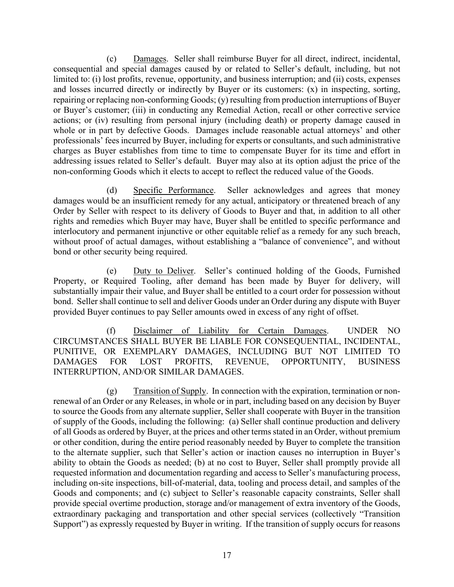(c) Damages. Seller shall reimburse Buyer for all direct, indirect, incidental, consequential and special damages caused by or related to Seller's default, including, but not limited to: (i) lost profits, revenue, opportunity, and business interruption; and (ii) costs, expenses and losses incurred directly or indirectly by Buyer or its customers: (x) in inspecting, sorting, repairing or replacing non-conforming Goods; (y) resulting from production interruptions of Buyer or Buyer's customer; (iii) in conducting any Remedial Action, recall or other corrective service actions; or (iv) resulting from personal injury (including death) or property damage caused in whole or in part by defective Goods. Damages include reasonable actual attorneys' and other professionals' fees incurred by Buyer, including for experts or consultants, and such administrative charges as Buyer establishes from time to time to compensate Buyer for its time and effort in addressing issues related to Seller's default. Buyer may also at its option adjust the price of the non-conforming Goods which it elects to accept to reflect the reduced value of the Goods.

(d) Specific Performance. Seller acknowledges and agrees that money damages would be an insufficient remedy for any actual, anticipatory or threatened breach of any Order by Seller with respect to its delivery of Goods to Buyer and that, in addition to all other rights and remedies which Buyer may have, Buyer shall be entitled to specific performance and interlocutory and permanent injunctive or other equitable relief as a remedy for any such breach, without proof of actual damages, without establishing a "balance of convenience", and without bond or other security being required.

(e) Duty to Deliver. Seller's continued holding of the Goods, Furnished Property, or Required Tooling, after demand has been made by Buyer for delivery, will substantially impair their value, and Buyer shall be entitled to a court order for possession without bond. Seller shall continue to sell and deliver Goods under an Order during any dispute with Buyer provided Buyer continues to pay Seller amounts owed in excess of any right of offset.

(f) Disclaimer of Liability for Certain Damages. UNDER NO CIRCUMSTANCES SHALL BUYER BE LIABLE FOR CONSEQUENTIAL, INCIDENTAL, PUNITIVE, OR EXEMPLARY DAMAGES, INCLUDING BUT NOT LIMITED TO DAMAGES FOR LOST PROFITS, REVENUE, OPPORTUNITY, BUSINESS INTERRUPTION, AND/OR SIMILAR DAMAGES.

(g) Transition of Supply. In connection with the expiration, termination or nonrenewal of an Order or any Releases, in whole or in part, including based on any decision by Buyer to source the Goods from any alternate supplier, Seller shall cooperate with Buyer in the transition of supply of the Goods, including the following: (a) Seller shall continue production and delivery of all Goods as ordered by Buyer, at the prices and other terms stated in an Order, without premium or other condition, during the entire period reasonably needed by Buyer to complete the transition to the alternate supplier, such that Seller's action or inaction causes no interruption in Buyer's ability to obtain the Goods as needed; (b) at no cost to Buyer, Seller shall promptly provide all requested information and documentation regarding and access to Seller's manufacturing process, including on-site inspections, bill-of-material, data, tooling and process detail, and samples of the Goods and components; and (c) subject to Seller's reasonable capacity constraints, Seller shall provide special overtime production, storage and/or management of extra inventory of the Goods, extraordinary packaging and transportation and other special services (collectively "Transition Support") as expressly requested by Buyer in writing. If the transition of supply occurs for reasons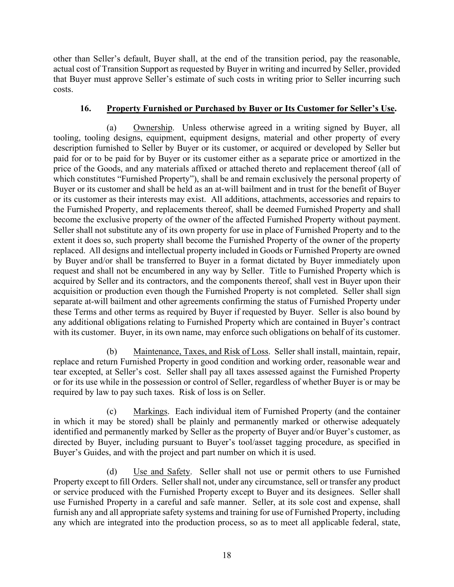other than Seller's default, Buyer shall, at the end of the transition period, pay the reasonable, actual cost of Transition Support as requested by Buyer in writing and incurred by Seller, provided that Buyer must approve Seller's estimate of such costs in writing prior to Seller incurring such costs.

#### **16. Property Furnished or Purchased by Buyer or Its Customer for Seller's Use.**

(a) Ownership. Unless otherwise agreed in a writing signed by Buyer, all tooling, tooling designs, equipment, equipment designs, material and other property of every description furnished to Seller by Buyer or its customer, or acquired or developed by Seller but paid for or to be paid for by Buyer or its customer either as a separate price or amortized in the price of the Goods, and any materials affixed or attached thereto and replacement thereof (all of which constitutes "Furnished Property"), shall be and remain exclusively the personal property of Buyer or its customer and shall be held as an at-will bailment and in trust for the benefit of Buyer or its customer as their interests may exist. All additions, attachments, accessories and repairs to the Furnished Property, and replacements thereof, shall be deemed Furnished Property and shall become the exclusive property of the owner of the affected Furnished Property without payment. Seller shall not substitute any of its own property for use in place of Furnished Property and to the extent it does so, such property shall become the Furnished Property of the owner of the property replaced. All designs and intellectual property included in Goods or Furnished Property are owned by Buyer and/or shall be transferred to Buyer in a format dictated by Buyer immediately upon request and shall not be encumbered in any way by Seller. Title to Furnished Property which is acquired by Seller and its contractors, and the components thereof, shall vest in Buyer upon their acquisition or production even though the Furnished Property is not completed. Seller shall sign separate at-will bailment and other agreements confirming the status of Furnished Property under these Terms and other terms as required by Buyer if requested by Buyer. Seller is also bound by any additional obligations relating to Furnished Property which are contained in Buyer's contract with its customer. Buyer, in its own name, may enforce such obligations on behalf of its customer.

(b) Maintenance, Taxes, and Risk of Loss. Seller shall install, maintain, repair, replace and return Furnished Property in good condition and working order, reasonable wear and tear excepted, at Seller's cost. Seller shall pay all taxes assessed against the Furnished Property or for its use while in the possession or control of Seller, regardless of whether Buyer is or may be required by law to pay such taxes. Risk of loss is on Seller.

(c) Markings. Each individual item of Furnished Property (and the container in which it may be stored) shall be plainly and permanently marked or otherwise adequately identified and permanently marked by Seller as the property of Buyer and/or Buyer's customer, as directed by Buyer, including pursuant to Buyer's tool/asset tagging procedure, as specified in Buyer's Guides, and with the project and part number on which it is used.

(d) Use and Safety. Seller shall not use or permit others to use Furnished Property except to fill Orders. Seller shall not, under any circumstance, sell or transfer any product or service produced with the Furnished Property except to Buyer and its designees. Seller shall use Furnished Property in a careful and safe manner. Seller, at its sole cost and expense, shall furnish any and all appropriate safety systems and training for use of Furnished Property, including any which are integrated into the production process, so as to meet all applicable federal, state,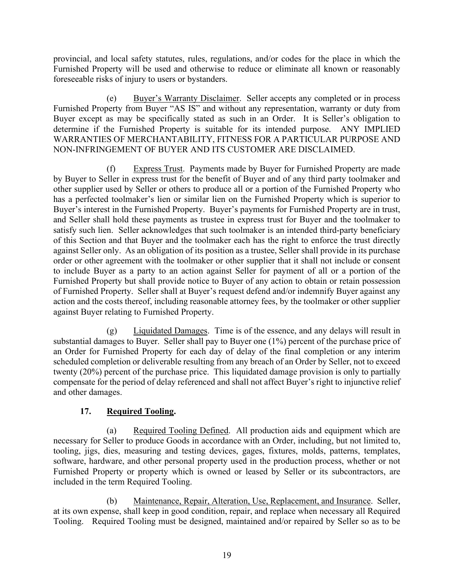provincial, and local safety statutes, rules, regulations, and/or codes for the place in which the Furnished Property will be used and otherwise to reduce or eliminate all known or reasonably foreseeable risks of injury to users or bystanders.

(e) Buyer's Warranty Disclaimer. Seller accepts any completed or in process Furnished Property from Buyer "AS IS" and without any representation, warranty or duty from Buyer except as may be specifically stated as such in an Order. It is Seller's obligation to determine if the Furnished Property is suitable for its intended purpose. ANY IMPLIED WARRANTIES OF MERCHANTABILITY, FITNESS FOR A PARTICULAR PURPOSE AND NON-INFRINGEMENT OF BUYER AND ITS CUSTOMER ARE DISCLAIMED.

(f) Express Trust. Payments made by Buyer for Furnished Property are made by Buyer to Seller in express trust for the benefit of Buyer and of any third party toolmaker and other supplier used by Seller or others to produce all or a portion of the Furnished Property who has a perfected toolmaker's lien or similar lien on the Furnished Property which is superior to Buyer's interest in the Furnished Property. Buyer's payments for Furnished Property are in trust, and Seller shall hold these payments as trustee in express trust for Buyer and the toolmaker to satisfy such lien. Seller acknowledges that such toolmaker is an intended third-party beneficiary of this Section and that Buyer and the toolmaker each has the right to enforce the trust directly against Seller only. As an obligation of its position as a trustee, Seller shall provide in its purchase order or other agreement with the toolmaker or other supplier that it shall not include or consent to include Buyer as a party to an action against Seller for payment of all or a portion of the Furnished Property but shall provide notice to Buyer of any action to obtain or retain possession of Furnished Property. Seller shall at Buyer's request defend and/or indemnify Buyer against any action and the costs thereof, including reasonable attorney fees, by the toolmaker or other supplier against Buyer relating to Furnished Property.

(g) Liquidated Damages. Time is of the essence, and any delays will result in substantial damages to Buyer. Seller shall pay to Buyer one (1%) percent of the purchase price of an Order for Furnished Property for each day of delay of the final completion or any interim scheduled completion or deliverable resulting from any breach of an Order by Seller, not to exceed twenty (20%) percent of the purchase price. This liquidated damage provision is only to partially compensate for the period of delay referenced and shall not affect Buyer's right to injunctive relief and other damages.

## **17. Required Tooling.**

(a) Required Tooling Defined. All production aids and equipment which are necessary for Seller to produce Goods in accordance with an Order, including, but not limited to, tooling, jigs, dies, measuring and testing devices, gages, fixtures, molds, patterns, templates, software, hardware, and other personal property used in the production process, whether or not Furnished Property or property which is owned or leased by Seller or its subcontractors, are included in the term Required Tooling.

(b) Maintenance, Repair, Alteration, Use, Replacement, and Insurance. Seller, at its own expense, shall keep in good condition, repair, and replace when necessary all Required Tooling. Required Tooling must be designed, maintained and/or repaired by Seller so as to be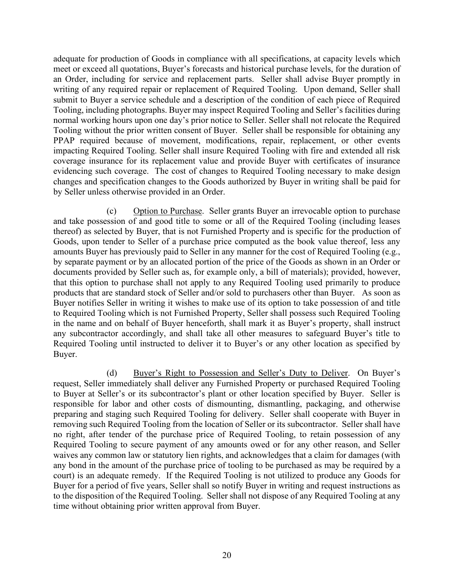adequate for production of Goods in compliance with all specifications, at capacity levels which meet or exceed all quotations, Buyer's forecasts and historical purchase levels, for the duration of an Order, including for service and replacement parts. Seller shall advise Buyer promptly in writing of any required repair or replacement of Required Tooling. Upon demand, Seller shall submit to Buyer a service schedule and a description of the condition of each piece of Required Tooling, including photographs. Buyer may inspect Required Tooling and Seller's facilities during normal working hours upon one day's prior notice to Seller. Seller shall not relocate the Required Tooling without the prior written consent of Buyer. Seller shall be responsible for obtaining any PPAP required because of movement, modifications, repair, replacement, or other events impacting Required Tooling. Seller shall insure Required Tooling with fire and extended all risk coverage insurance for its replacement value and provide Buyer with certificates of insurance evidencing such coverage. The cost of changes to Required Tooling necessary to make design changes and specification changes to the Goods authorized by Buyer in writing shall be paid for by Seller unless otherwise provided in an Order.

(c) Option to Purchase. Seller grants Buyer an irrevocable option to purchase and take possession of and good title to some or all of the Required Tooling (including leases thereof) as selected by Buyer, that is not Furnished Property and is specific for the production of Goods, upon tender to Seller of a purchase price computed as the book value thereof, less any amounts Buyer has previously paid to Seller in any manner for the cost of Required Tooling (e.g., by separate payment or by an allocated portion of the price of the Goods as shown in an Order or documents provided by Seller such as, for example only, a bill of materials); provided, however, that this option to purchase shall not apply to any Required Tooling used primarily to produce products that are standard stock of Seller and/or sold to purchasers other than Buyer. As soon as Buyer notifies Seller in writing it wishes to make use of its option to take possession of and title to Required Tooling which is not Furnished Property, Seller shall possess such Required Tooling in the name and on behalf of Buyer henceforth, shall mark it as Buyer's property, shall instruct any subcontractor accordingly, and shall take all other measures to safeguard Buyer's title to Required Tooling until instructed to deliver it to Buyer's or any other location as specified by Buyer.

(d) Buyer's Right to Possession and Seller's Duty to Deliver. On Buyer's request, Seller immediately shall deliver any Furnished Property or purchased Required Tooling to Buyer at Seller's or its subcontractor's plant or other location specified by Buyer. Seller is responsible for labor and other costs of dismounting, dismantling, packaging, and otherwise preparing and staging such Required Tooling for delivery. Seller shall cooperate with Buyer in removing such Required Tooling from the location of Seller or its subcontractor. Seller shall have no right, after tender of the purchase price of Required Tooling, to retain possession of any Required Tooling to secure payment of any amounts owed or for any other reason, and Seller waives any common law or statutory lien rights, and acknowledges that a claim for damages (with any bond in the amount of the purchase price of tooling to be purchased as may be required by a court) is an adequate remedy. If the Required Tooling is not utilized to produce any Goods for Buyer for a period of five years, Seller shall so notify Buyer in writing and request instructions as to the disposition of the Required Tooling. Seller shall not dispose of any Required Tooling at any time without obtaining prior written approval from Buyer.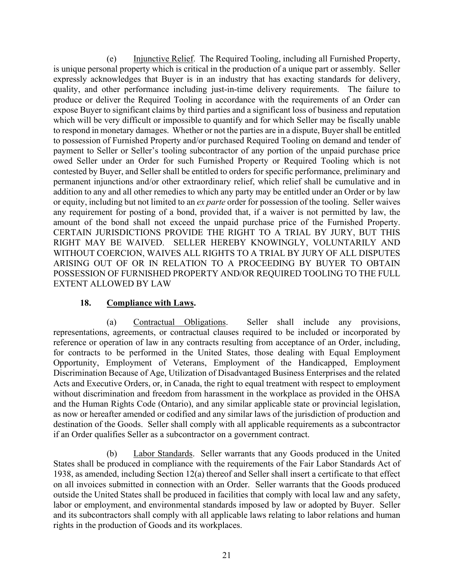(e) Injunctive Relief. The Required Tooling, including all Furnished Property, is unique personal property which is critical in the production of a unique part or assembly. Seller expressly acknowledges that Buyer is in an industry that has exacting standards for delivery, quality, and other performance including just-in-time delivery requirements. The failure to produce or deliver the Required Tooling in accordance with the requirements of an Order can expose Buyer to significant claims by third parties and a significant loss of business and reputation which will be very difficult or impossible to quantify and for which Seller may be fiscally unable to respond in monetary damages. Whether or not the parties are in a dispute, Buyer shall be entitled to possession of Furnished Property and/or purchased Required Tooling on demand and tender of payment to Seller or Seller's tooling subcontractor of any portion of the unpaid purchase price owed Seller under an Order for such Furnished Property or Required Tooling which is not contested by Buyer, and Seller shall be entitled to orders for specific performance, preliminary and permanent injunctions and/or other extraordinary relief, which relief shall be cumulative and in addition to any and all other remedies to which any party may be entitled under an Order or by law or equity, including but not limited to an *ex parte* order for possession of the tooling. Seller waives any requirement for posting of a bond, provided that, if a waiver is not permitted by law, the amount of the bond shall not exceed the unpaid purchase price of the Furnished Property. CERTAIN JURISDICTIONS PROVIDE THE RIGHT TO A TRIAL BY JURY, BUT THIS RIGHT MAY BE WAIVED. SELLER HEREBY KNOWINGLY, VOLUNTARILY AND WITHOUT COERCION, WAIVES ALL RIGHTS TO A TRIAL BY JURY OF ALL DISPUTES ARISING OUT OF OR IN RELATION TO A PROCEEDING BY BUYER TO OBTAIN POSSESSION OF FURNISHED PROPERTY AND/OR REQUIRED TOOLING TO THE FULL EXTENT ALLOWED BY LAW

#### **18. Compliance with Laws.**

(a) Contractual Obligations. Seller shall include any provisions, representations, agreements, or contractual clauses required to be included or incorporated by reference or operation of law in any contracts resulting from acceptance of an Order, including, for contracts to be performed in the United States, those dealing with Equal Employment Opportunity, Employment of Veterans, Employment of the Handicapped, Employment Discrimination Because of Age, Utilization of Disadvantaged Business Enterprises and the related Acts and Executive Orders, or, in Canada, the right to equal treatment with respect to employment without discrimination and freedom from harassment in the workplace as provided in the OHSA and the Human Rights Code (Ontario), and any similar applicable state or provincial legislation, as now or hereafter amended or codified and any similar laws of the jurisdiction of production and destination of the Goods. Seller shall comply with all applicable requirements as a subcontractor if an Order qualifies Seller as a subcontractor on a government contract.

(b) Labor Standards. Seller warrants that any Goods produced in the United States shall be produced in compliance with the requirements of the Fair Labor Standards Act of 1938, as amended, including Section 12(a) thereof and Seller shall insert a certificate to that effect on all invoices submitted in connection with an Order. Seller warrants that the Goods produced outside the United States shall be produced in facilities that comply with local law and any safety, labor or employment, and environmental standards imposed by law or adopted by Buyer. Seller and its subcontractors shall comply with all applicable laws relating to labor relations and human rights in the production of Goods and its workplaces.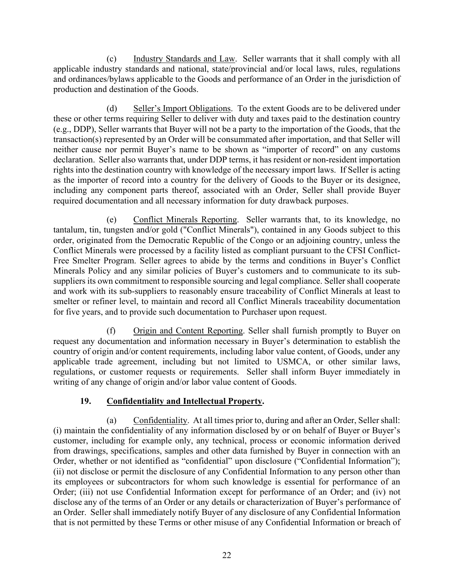(c) Industry Standards and Law. Seller warrants that it shall comply with all applicable industry standards and national, state/provincial and/or local laws, rules, regulations and ordinances/bylaws applicable to the Goods and performance of an Order in the jurisdiction of production and destination of the Goods.

(d) Seller's Import Obligations. To the extent Goods are to be delivered under these or other terms requiring Seller to deliver with duty and taxes paid to the destination country (e.g., DDP), Seller warrants that Buyer will not be a party to the importation of the Goods, that the transaction(s) represented by an Order will be consummated after importation, and that Seller will neither cause nor permit Buyer's name to be shown as "importer of record" on any customs declaration. Seller also warrants that, under DDP terms, it has resident or non-resident importation rights into the destination country with knowledge of the necessary import laws. If Seller is acting as the importer of record into a country for the delivery of Goods to the Buyer or its designee, including any component parts thereof, associated with an Order, Seller shall provide Buyer required documentation and all necessary information for duty drawback purposes.

(e) Conflict Minerals Reporting. Seller warrants that, to its knowledge, no tantalum, tin, tungsten and/or gold ("Conflict Minerals"), contained in any Goods subject to this order, originated from the Democratic Republic of the Congo or an adjoining country, unless the Conflict Minerals were processed by a facility listed as compliant pursuant to the CFSI Conflict-Free Smelter Program. Seller agrees to abide by the terms and conditions in Buyer's Conflict Minerals Policy and any similar policies of Buyer's customers and to communicate to its subsuppliers its own commitment to responsible sourcing and legal compliance. Seller shall cooperate and work with its sub-suppliers to reasonably ensure traceability of Conflict Minerals at least to smelter or refiner level, to maintain and record all Conflict Minerals traceability documentation for five years, and to provide such documentation to Purchaser upon request.

(f) Origin and Content Reporting. Seller shall furnish promptly to Buyer on request any documentation and information necessary in Buyer's determination to establish the country of origin and/or content requirements, including labor value content, of Goods, under any applicable trade agreement, including but not limited to USMCA, or other similar laws, regulations, or customer requests or requirements. Seller shall inform Buyer immediately in writing of any change of origin and/or labor value content of Goods.

## **19. Confidentiality and Intellectual Property.**

(a) Confidentiality. At all times prior to, during and after an Order, Seller shall: (i) maintain the confidentiality of any information disclosed by or on behalf of Buyer or Buyer's customer, including for example only, any technical, process or economic information derived from drawings, specifications, samples and other data furnished by Buyer in connection with an Order, whether or not identified as "confidential" upon disclosure ("Confidential Information"); (ii) not disclose or permit the disclosure of any Confidential Information to any person other than its employees or subcontractors for whom such knowledge is essential for performance of an Order; (iii) not use Confidential Information except for performance of an Order; and (iv) not disclose any of the terms of an Order or any details or characterization of Buyer's performance of an Order. Seller shall immediately notify Buyer of any disclosure of any Confidential Information that is not permitted by these Terms or other misuse of any Confidential Information or breach of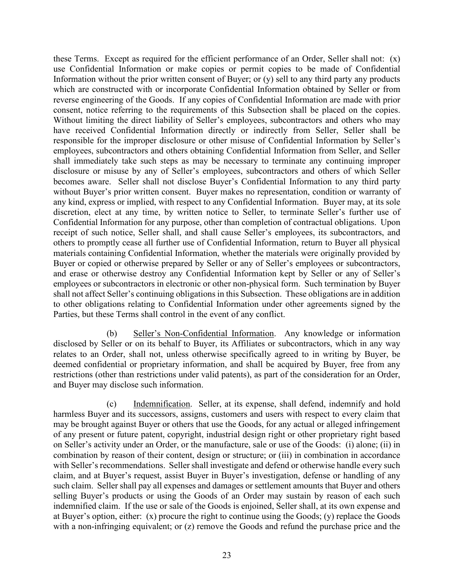these Terms. Except as required for the efficient performance of an Order, Seller shall not: (x) use Confidential Information or make copies or permit copies to be made of Confidential Information without the prior written consent of Buyer; or (y) sell to any third party any products which are constructed with or incorporate Confidential Information obtained by Seller or from reverse engineering of the Goods. If any copies of Confidential Information are made with prior consent, notice referring to the requirements of this Subsection shall be placed on the copies. Without limiting the direct liability of Seller's employees, subcontractors and others who may have received Confidential Information directly or indirectly from Seller, Seller shall be responsible for the improper disclosure or other misuse of Confidential Information by Seller's employees, subcontractors and others obtaining Confidential Information from Seller, and Seller shall immediately take such steps as may be necessary to terminate any continuing improper disclosure or misuse by any of Seller's employees, subcontractors and others of which Seller becomes aware. Seller shall not disclose Buyer's Confidential Information to any third party without Buyer's prior written consent. Buyer makes no representation, condition or warranty of any kind, express or implied, with respect to any Confidential Information. Buyer may, at its sole discretion, elect at any time, by written notice to Seller, to terminate Seller's further use of Confidential Information for any purpose, other than completion of contractual obligations. Upon receipt of such notice, Seller shall, and shall cause Seller's employees, its subcontractors, and others to promptly cease all further use of Confidential Information, return to Buyer all physical materials containing Confidential Information, whether the materials were originally provided by Buyer or copied or otherwise prepared by Seller or any of Seller's employees or subcontractors, and erase or otherwise destroy any Confidential Information kept by Seller or any of Seller's employees or subcontractors in electronic or other non-physical form. Such termination by Buyer shall not affect Seller's continuing obligations in this Subsection. These obligations are in addition to other obligations relating to Confidential Information under other agreements signed by the Parties, but these Terms shall control in the event of any conflict.

(b) Seller's Non-Confidential Information. Any knowledge or information disclosed by Seller or on its behalf to Buyer, its Affiliates or subcontractors, which in any way relates to an Order, shall not, unless otherwise specifically agreed to in writing by Buyer, be deemed confidential or proprietary information, and shall be acquired by Buyer, free from any restrictions (other than restrictions under valid patents), as part of the consideration for an Order, and Buyer may disclose such information.

(c) Indemnification. Seller, at its expense, shall defend, indemnify and hold harmless Buyer and its successors, assigns, customers and users with respect to every claim that may be brought against Buyer or others that use the Goods, for any actual or alleged infringement of any present or future patent, copyright, industrial design right or other proprietary right based on Seller's activity under an Order, or the manufacture, sale or use of the Goods: (i) alone; (ii) in combination by reason of their content, design or structure; or (iii) in combination in accordance with Seller's recommendations. Seller shall investigate and defend or otherwise handle every such claim, and at Buyer's request, assist Buyer in Buyer's investigation, defense or handling of any such claim. Seller shall pay all expenses and damages or settlement amounts that Buyer and others selling Buyer's products or using the Goods of an Order may sustain by reason of each such indemnified claim. If the use or sale of the Goods is enjoined, Seller shall, at its own expense and at Buyer's option, either: (x) procure the right to continue using the Goods; (y) replace the Goods with a non-infringing equivalent; or (z) remove the Goods and refund the purchase price and the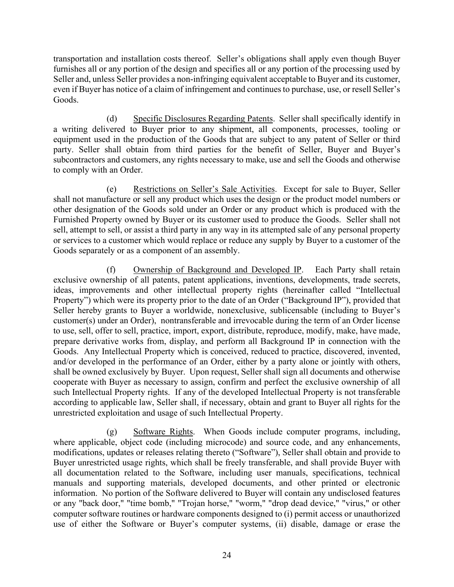transportation and installation costs thereof. Seller's obligations shall apply even though Buyer furnishes all or any portion of the design and specifies all or any portion of the processing used by Seller and, unless Seller provides a non-infringing equivalent acceptable to Buyer and its customer, even if Buyer has notice of a claim of infringement and continues to purchase, use, or resell Seller's Goods.

(d) Specific Disclosures Regarding Patents. Seller shall specifically identify in a writing delivered to Buyer prior to any shipment, all components, processes, tooling or equipment used in the production of the Goods that are subject to any patent of Seller or third party. Seller shall obtain from third parties for the benefit of Seller, Buyer and Buyer's subcontractors and customers, any rights necessary to make, use and sell the Goods and otherwise to comply with an Order.

(e) Restrictions on Seller's Sale Activities. Except for sale to Buyer, Seller shall not manufacture or sell any product which uses the design or the product model numbers or other designation of the Goods sold under an Order or any product which is produced with the Furnished Property owned by Buyer or its customer used to produce the Goods. Seller shall not sell, attempt to sell, or assist a third party in any way in its attempted sale of any personal property or services to a customer which would replace or reduce any supply by Buyer to a customer of the Goods separately or as a component of an assembly.

(f) Ownership of Background and Developed IP. Each Party shall retain exclusive ownership of all patents, patent applications, inventions, developments, trade secrets, ideas, improvements and other intellectual property rights (hereinafter called "Intellectual Property") which were its property prior to the date of an Order ("Background IP"), provided that Seller hereby grants to Buyer a worldwide, nonexclusive, sublicensable (including to Buyer's customer(s) under an Order), nontransferable and irrevocable during the term of an Order license to use, sell, offer to sell, practice, import, export, distribute, reproduce, modify, make, have made, prepare derivative works from, display, and perform all Background IP in connection with the Goods. Any Intellectual Property which is conceived, reduced to practice, discovered, invented, and/or developed in the performance of an Order, either by a party alone or jointly with others, shall be owned exclusively by Buyer. Upon request, Seller shall sign all documents and otherwise cooperate with Buyer as necessary to assign, confirm and perfect the exclusive ownership of all such Intellectual Property rights. If any of the developed Intellectual Property is not transferable according to applicable law, Seller shall, if necessary, obtain and grant to Buyer all rights for the unrestricted exploitation and usage of such Intellectual Property.

(g) Software Rights. When Goods include computer programs, including, where applicable, object code (including microcode) and source code, and any enhancements, modifications, updates or releases relating thereto ("Software"), Seller shall obtain and provide to Buyer unrestricted usage rights, which shall be freely transferable, and shall provide Buyer with all documentation related to the Software, including user manuals, specifications, technical manuals and supporting materials, developed documents, and other printed or electronic information. No portion of the Software delivered to Buyer will contain any undisclosed features or any "back door," "time bomb," "Trojan horse," "worm," "drop dead device," "virus," or other computer software routines or hardware components designed to (i) permit access or unauthorized use of either the Software or Buyer's computer systems, (ii) disable, damage or erase the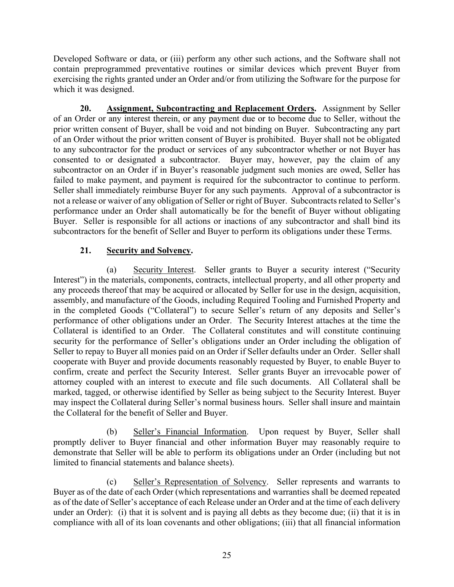Developed Software or data, or (iii) perform any other such actions, and the Software shall not contain preprogrammed preventative routines or similar devices which prevent Buyer from exercising the rights granted under an Order and/or from utilizing the Software for the purpose for which it was designed.

**20. Assignment, Subcontracting and Replacement Orders.** Assignment by Seller of an Order or any interest therein, or any payment due or to become due to Seller, without the prior written consent of Buyer, shall be void and not binding on Buyer. Subcontracting any part of an Order without the prior written consent of Buyer is prohibited. Buyer shall not be obligated to any subcontractor for the product or services of any subcontractor whether or not Buyer has consented to or designated a subcontractor. Buyer may, however, pay the claim of any subcontractor on an Order if in Buyer's reasonable judgment such monies are owed, Seller has failed to make payment, and payment is required for the subcontractor to continue to perform. Seller shall immediately reimburse Buyer for any such payments. Approval of a subcontractor is not a release or waiver of any obligation of Seller or right of Buyer. Subcontracts related to Seller's performance under an Order shall automatically be for the benefit of Buyer without obligating Buyer. Seller is responsible for all actions or inactions of any subcontractor and shall bind its subcontractors for the benefit of Seller and Buyer to perform its obligations under these Terms.

### **21. Security and Solvency.**

(a) Security Interest. Seller grants to Buyer a security interest ("Security Interest") in the materials, components, contracts, intellectual property, and all other property and any proceeds thereof that may be acquired or allocated by Seller for use in the design, acquisition, assembly, and manufacture of the Goods, including Required Tooling and Furnished Property and in the completed Goods ("Collateral") to secure Seller's return of any deposits and Seller's performance of other obligations under an Order. The Security Interest attaches at the time the Collateral is identified to an Order. The Collateral constitutes and will constitute continuing security for the performance of Seller's obligations under an Order including the obligation of Seller to repay to Buyer all monies paid on an Order if Seller defaults under an Order. Seller shall cooperate with Buyer and provide documents reasonably requested by Buyer, to enable Buyer to confirm, create and perfect the Security Interest. Seller grants Buyer an irrevocable power of attorney coupled with an interest to execute and file such documents. All Collateral shall be marked, tagged, or otherwise identified by Seller as being subject to the Security Interest. Buyer may inspect the Collateral during Seller's normal business hours. Seller shall insure and maintain the Collateral for the benefit of Seller and Buyer.

(b) Seller's Financial Information. Upon request by Buyer, Seller shall promptly deliver to Buyer financial and other information Buyer may reasonably require to demonstrate that Seller will be able to perform its obligations under an Order (including but not limited to financial statements and balance sheets).

(c) Seller's Representation of Solvency. Seller represents and warrants to Buyer as of the date of each Order (which representations and warranties shall be deemed repeated as of the date of Seller's acceptance of each Release under an Order and at the time of each delivery under an Order): (i) that it is solvent and is paying all debts as they become due; (ii) that it is in compliance with all of its loan covenants and other obligations; (iii) that all financial information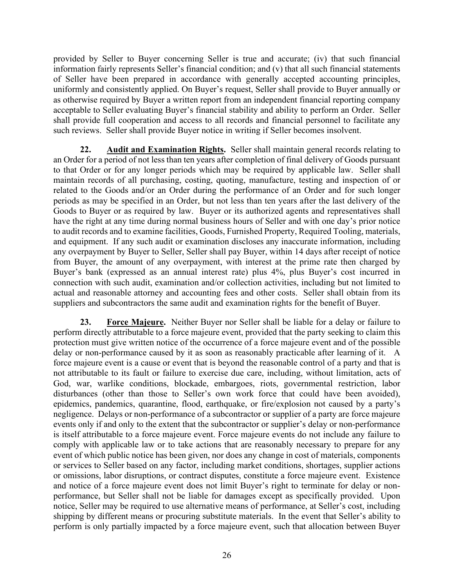provided by Seller to Buyer concerning Seller is true and accurate; (iv) that such financial information fairly represents Seller's financial condition; and (v) that all such financial statements of Seller have been prepared in accordance with generally accepted accounting principles, uniformly and consistently applied. On Buyer's request, Seller shall provide to Buyer annually or as otherwise required by Buyer a written report from an independent financial reporting company acceptable to Seller evaluating Buyer's financial stability and ability to perform an Order. Seller shall provide full cooperation and access to all records and financial personnel to facilitate any such reviews. Seller shall provide Buyer notice in writing if Seller becomes insolvent.

**22. Audit and Examination Rights.** Seller shall maintain general records relating to an Order for a period of not less than ten years after completion of final delivery of Goods pursuant to that Order or for any longer periods which may be required by applicable law. Seller shall maintain records of all purchasing, costing, quoting, manufacture, testing and inspection of or related to the Goods and/or an Order during the performance of an Order and for such longer periods as may be specified in an Order, but not less than ten years after the last delivery of the Goods to Buyer or as required by law. Buyer or its authorized agents and representatives shall have the right at any time during normal business hours of Seller and with one day's prior notice to audit records and to examine facilities, Goods, Furnished Property, Required Tooling, materials, and equipment. If any such audit or examination discloses any inaccurate information, including any overpayment by Buyer to Seller, Seller shall pay Buyer, within 14 days after receipt of notice from Buyer, the amount of any overpayment, with interest at the prime rate then charged by Buyer's bank (expressed as an annual interest rate) plus 4%, plus Buyer's cost incurred in connection with such audit, examination and/or collection activities, including but not limited to actual and reasonable attorney and accounting fees and other costs. Seller shall obtain from its suppliers and subcontractors the same audit and examination rights for the benefit of Buyer.

**23. Force Majeure.** Neither Buyer nor Seller shall be liable for a delay or failure to perform directly attributable to a force majeure event, provided that the party seeking to claim this protection must give written notice of the occurrence of a force majeure event and of the possible delay or non-performance caused by it as soon as reasonably practicable after learning of it. A force majeure event is a cause or event that is beyond the reasonable control of a party and that is not attributable to its fault or failure to exercise due care, including, without limitation, acts of God, war, warlike conditions, blockade, embargoes, riots, governmental restriction, labor disturbances (other than those to Seller's own work force that could have been avoided), epidemics, pandemics, quarantine, flood, earthquake, or fire/explosion not caused by a party's negligence. Delays or non-performance of a subcontractor or supplier of a party are force majeure events only if and only to the extent that the subcontractor or supplier's delay or non-performance is itself attributable to a force majeure event. Force majeure events do not include any failure to comply with applicable law or to take actions that are reasonably necessary to prepare for any event of which public notice has been given, nor does any change in cost of materials, components or services to Seller based on any factor, including market conditions, shortages, supplier actions or omissions, labor disruptions, or contract disputes, constitute a force majeure event. Existence and notice of a force majeure event does not limit Buyer's right to terminate for delay or nonperformance, but Seller shall not be liable for damages except as specifically provided. Upon notice, Seller may be required to use alternative means of performance, at Seller's cost, including shipping by different means or procuring substitute materials. In the event that Seller's ability to perform is only partially impacted by a force majeure event, such that allocation between Buyer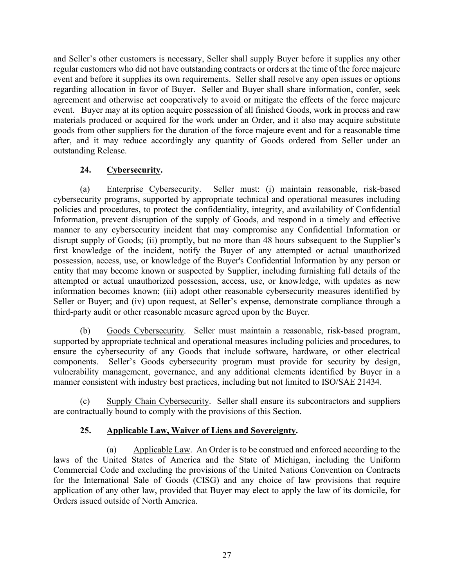and Seller's other customers is necessary, Seller shall supply Buyer before it supplies any other regular customers who did not have outstanding contracts or orders at the time of the force majeure event and before it supplies its own requirements. Seller shall resolve any open issues or options regarding allocation in favor of Buyer. Seller and Buyer shall share information, confer, seek agreement and otherwise act cooperatively to avoid or mitigate the effects of the force majeure event. Buyer may at its option acquire possession of all finished Goods, work in process and raw materials produced or acquired for the work under an Order, and it also may acquire substitute goods from other suppliers for the duration of the force majeure event and for a reasonable time after, and it may reduce accordingly any quantity of Goods ordered from Seller under an outstanding Release.

### **24. Cybersecurity.**

(a) Enterprise Cybersecurity. Seller must: (i) maintain reasonable, risk-based cybersecurity programs, supported by appropriate technical and operational measures including policies and procedures, to protect the confidentiality, integrity, and availability of Confidential Information, prevent disruption of the supply of Goods, and respond in a timely and effective manner to any cybersecurity incident that may compromise any Confidential Information or disrupt supply of Goods; (ii) promptly, but no more than 48 hours subsequent to the Supplier's first knowledge of the incident, notify the Buyer of any attempted or actual unauthorized possession, access, use, or knowledge of the Buyer's Confidential Information by any person or entity that may become known or suspected by Supplier, including furnishing full details of the attempted or actual unauthorized possession, access, use, or knowledge, with updates as new information becomes known; (iii) adopt other reasonable cybersecurity measures identified by Seller or Buyer; and (iv) upon request, at Seller's expense, demonstrate compliance through a third-party audit or other reasonable measure agreed upon by the Buyer.

(b) Goods Cybersecurity. Seller must maintain a reasonable, risk-based program, supported by appropriate technical and operational measures including policies and procedures, to ensure the cybersecurity of any Goods that include software, hardware, or other electrical components. Seller's Goods cybersecurity program must provide for security by design, vulnerability management, governance, and any additional elements identified by Buyer in a manner consistent with industry best practices, including but not limited to ISO/SAE 21434.

(c) Supply Chain Cybersecurity. Seller shall ensure its subcontractors and suppliers are contractually bound to comply with the provisions of this Section.

## **25. Applicable Law, Waiver of Liens and Sovereignty.**

(a) Applicable Law. An Order is to be construed and enforced according to the laws of the United States of America and the State of Michigan, including the Uniform Commercial Code and excluding the provisions of the United Nations Convention on Contracts for the International Sale of Goods (CISG) and any choice of law provisions that require application of any other law, provided that Buyer may elect to apply the law of its domicile, for Orders issued outside of North America.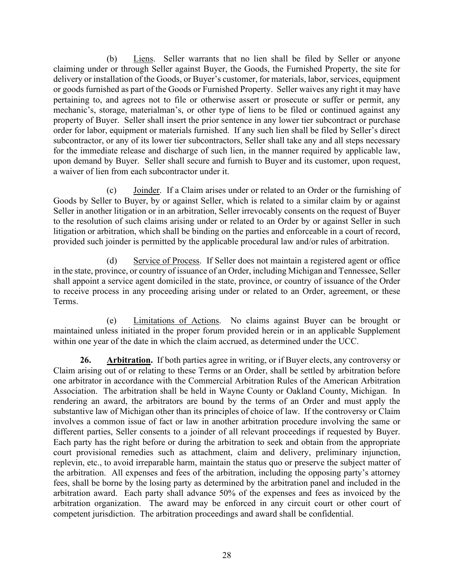(b) Liens. Seller warrants that no lien shall be filed by Seller or anyone claiming under or through Seller against Buyer, the Goods, the Furnished Property, the site for delivery or installation of the Goods, or Buyer's customer, for materials, labor, services, equipment or goods furnished as part of the Goods or Furnished Property. Seller waives any right it may have pertaining to, and agrees not to file or otherwise assert or prosecute or suffer or permit, any mechanic's, storage, materialman's, or other type of liens to be filed or continued against any property of Buyer. Seller shall insert the prior sentence in any lower tier subcontract or purchase order for labor, equipment or materials furnished. If any such lien shall be filed by Seller's direct subcontractor, or any of its lower tier subcontractors, Seller shall take any and all steps necessary for the immediate release and discharge of such lien, in the manner required by applicable law, upon demand by Buyer. Seller shall secure and furnish to Buyer and its customer, upon request, a waiver of lien from each subcontractor under it.

(c) Joinder. If a Claim arises under or related to an Order or the furnishing of Goods by Seller to Buyer, by or against Seller, which is related to a similar claim by or against Seller in another litigation or in an arbitration, Seller irrevocably consents on the request of Buyer to the resolution of such claims arising under or related to an Order by or against Seller in such litigation or arbitration, which shall be binding on the parties and enforceable in a court of record, provided such joinder is permitted by the applicable procedural law and/or rules of arbitration.

(d) Service of Process. If Seller does not maintain a registered agent or office in the state, province, or country of issuance of an Order, including Michigan and Tennessee, Seller shall appoint a service agent domiciled in the state, province, or country of issuance of the Order to receive process in any proceeding arising under or related to an Order, agreement, or these Terms.

(e) Limitations of Actions. No claims against Buyer can be brought or maintained unless initiated in the proper forum provided herein or in an applicable Supplement within one year of the date in which the claim accrued, as determined under the UCC.

**26. Arbitration.** If both parties agree in writing, or if Buyer elects, any controversy or Claim arising out of or relating to these Terms or an Order, shall be settled by arbitration before one arbitrator in accordance with the Commercial Arbitration Rules of the American Arbitration Association. The arbitration shall be held in Wayne County or Oakland County, Michigan. In rendering an award, the arbitrators are bound by the terms of an Order and must apply the substantive law of Michigan other than its principles of choice of law. If the controversy or Claim involves a common issue of fact or law in another arbitration procedure involving the same or different parties, Seller consents to a joinder of all relevant proceedings if requested by Buyer. Each party has the right before or during the arbitration to seek and obtain from the appropriate court provisional remedies such as attachment, claim and delivery, preliminary injunction, replevin, etc., to avoid irreparable harm, maintain the status quo or preserve the subject matter of the arbitration. All expenses and fees of the arbitration, including the opposing party's attorney fees, shall be borne by the losing party as determined by the arbitration panel and included in the arbitration award. Each party shall advance 50% of the expenses and fees as invoiced by the arbitration organization. The award may be enforced in any circuit court or other court of competent jurisdiction. The arbitration proceedings and award shall be confidential.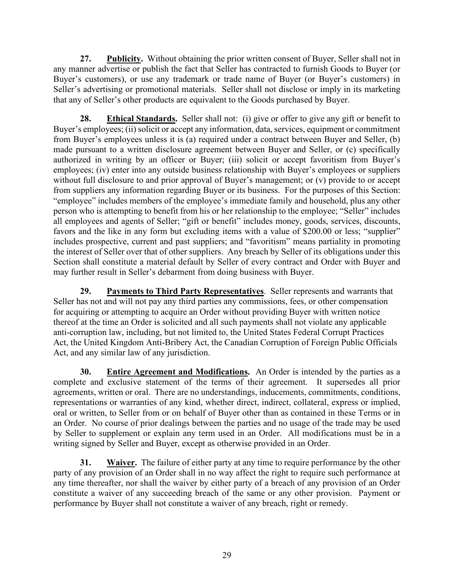**27. Publicity.** Without obtaining the prior written consent of Buyer, Seller shall not in any manner advertise or publish the fact that Seller has contracted to furnish Goods to Buyer (or Buyer's customers), or use any trademark or trade name of Buyer (or Buyer's customers) in Seller's advertising or promotional materials. Seller shall not disclose or imply in its marketing that any of Seller's other products are equivalent to the Goods purchased by Buyer.

**28. Ethical Standards.** Seller shall not: (i) give or offer to give any gift or benefit to Buyer's employees; (ii) solicit or accept any information, data, services, equipment or commitment from Buyer's employees unless it is (a) required under a contract between Buyer and Seller, (b) made pursuant to a written disclosure agreement between Buyer and Seller, or (c) specifically authorized in writing by an officer or Buyer; (iii) solicit or accept favoritism from Buyer's employees; (iv) enter into any outside business relationship with Buyer's employees or suppliers without full disclosure to and prior approval of Buyer's management; or (v) provide to or accept from suppliers any information regarding Buyer or its business. For the purposes of this Section: "employee" includes members of the employee's immediate family and household, plus any other person who is attempting to benefit from his or her relationship to the employee; "Seller" includes all employees and agents of Seller; "gift or benefit" includes money, goods, services, discounts, favors and the like in any form but excluding items with a value of \$200.00 or less; "supplier" includes prospective, current and past suppliers; and "favoritism" means partiality in promoting the interest of Seller over that of other suppliers. Any breach by Seller of its obligations under this Section shall constitute a material default by Seller of every contract and Order with Buyer and may further result in Seller's debarment from doing business with Buyer.

**29. Payments to Third Party Representatives**. Seller represents and warrants that Seller has not and will not pay any third parties any commissions, fees, or other compensation for acquiring or attempting to acquire an Order without providing Buyer with written notice thereof at the time an Order is solicited and all such payments shall not violate any applicable anti-corruption law, including, but not limited to, the United States Federal Corrupt Practices Act, the United Kingdom Anti-Bribery Act, the Canadian Corruption of Foreign Public Officials Act, and any similar law of any jurisdiction.

**30. Entire Agreement and Modifications.** An Order is intended by the parties as a complete and exclusive statement of the terms of their agreement. It supersedes all prior agreements, written or oral. There are no understandings, inducements, commitments, conditions, representations or warranties of any kind, whether direct, indirect, collateral, express or implied, oral or written, to Seller from or on behalf of Buyer other than as contained in these Terms or in an Order. No course of prior dealings between the parties and no usage of the trade may be used by Seller to supplement or explain any term used in an Order. All modifications must be in a writing signed by Seller and Buyer, except as otherwise provided in an Order.

**31. Waiver.** The failure of either party at any time to require performance by the other party of any provision of an Order shall in no way affect the right to require such performance at any time thereafter, nor shall the waiver by either party of a breach of any provision of an Order constitute a waiver of any succeeding breach of the same or any other provision. Payment or performance by Buyer shall not constitute a waiver of any breach, right or remedy.